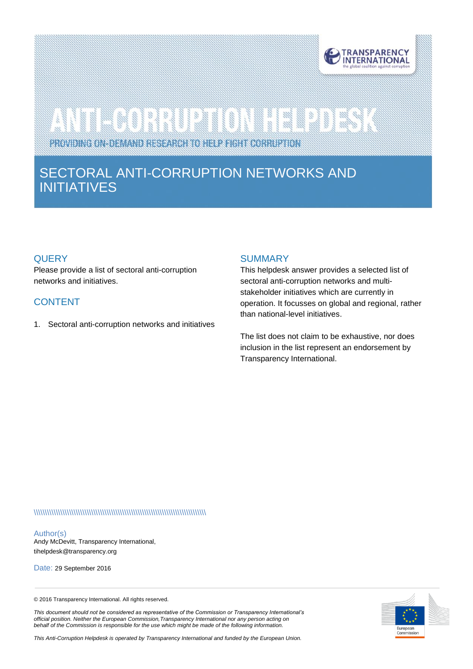

# 

PROVIDING ON-DEMAND RESEARCH TO HELP FIGHT CORRUPTION

# SECTORAL ANTI-CORRUPTION NETWORKS AND INITIATIVES

# **QUERY**

see.

Please provide a list of sectoral anti-corruption networks and initiatives.

# CONTENT

1. Sectoral anti-corruption networks and initiatives

#### **SUMMARY**

This helpdesk answer provides a selected list of sectoral anti-corruption networks and multistakeholder initiatives which are currently in operation. It focusses on global and regional, rather than national-level initiatives.

The list does not claim to be exhaustive, nor does inclusion in the list represent an endorsement by Transparency International.

\\\\\\\\\\\\\\\\\\\\\\\\\\\\\\\\\\\\\\\\\\\\\\\\\\\\\\\\\\\\\\\\\\\\\\\\\\\\\\

#### Author(s)

Andy McDevitt, Transparency International, tihelpdes[k@transparency.org](mailto:mchene@transparency.org%20?subject=U4%20Expert%20Answer)

Date: 29 September 2016

© 2016 Transparency International. All rights reserved.



*behalf of the Commission is responsible for the use which might be made of the following information. This Anti-Corruption Helpdesk is operated by Transparency International and funded by the European Union.*

*This document should not be considered as representative of the Commission or Transparency International's official position. Neither the European Commission,Transparency International nor any person acting on*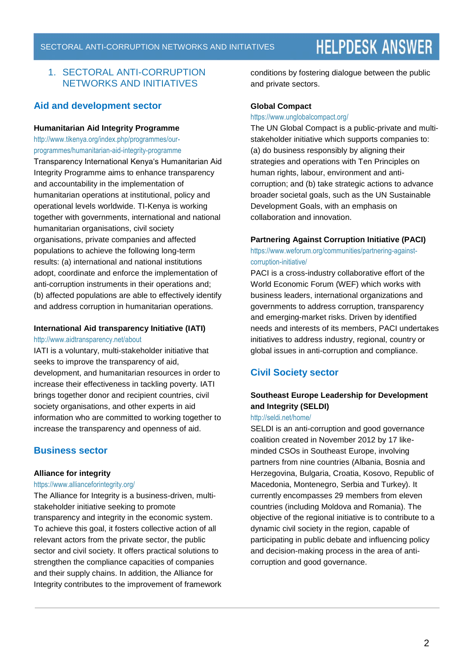# 1. SECTORAL ANTI-CORRUPTION NETWORKS AND INITIATIVES

# **Aid and development sector**

#### **Humanitarian Aid Integrity Programme**

[http://www.tikenya.org/index.php/programmes/our](http://www.tikenya.org/index.php/programmes/our-programmes/humanitarian-aid-integrity-programme)[programmes/humanitarian-aid-integrity-programme](http://www.tikenya.org/index.php/programmes/our-programmes/humanitarian-aid-integrity-programme) Transparency International Kenya's Humanitarian Aid Integrity Programme aims to enhance transparency and accountability in the implementation of humanitarian operations at institutional, policy and operational levels worldwide. TI-Kenya is working together with governments, international and national humanitarian organisations, civil society organisations, private companies and affected populations to achieve the following long-term results: (a) international and national institutions adopt, coordinate and enforce the implementation of anti-corruption instruments in their operations and; (b) affected populations are able to effectively identify and address corruption in humanitarian operations.

#### **International Aid transparency Initiative (IATI)**

#### <http://www.aidtransparency.net/about>

IATI is a voluntary, multi-stakeholder initiative that seeks to improve the transparency of aid, development, and humanitarian resources in order to increase their effectiveness in tackling poverty. IATI brings together donor and recipient countries, civil society organisations, and other experts in aid information who are committed to working together to increase the transparency and openness of aid.

# **Business sector**

# **Alliance for integrity**

#### <https://www.allianceforintegrity.org/>

The Alliance for Integrity is a business-driven, multistakeholder initiative seeking to promote transparency and integrity in the economic system. To achieve this goal, it fosters collective action of all relevant actors from the private sector, the public sector and civil society. It offers practical solutions to strengthen the compliance capacities of companies and their supply chains. In addition, the Alliance for Integrity contributes to the improvement of framework conditions by fostering dialogue between the public and private sectors.

#### **Global Compact**

#### <https://www.unglobalcompact.org/>

The UN Global Compact is a public-private and multistakeholder initiative which supports companies to: (a) do business responsibly by aligning their strategies and operations with Ten Principles on human rights, labour, environment and anticorruption; and (b) take strategic actions to advance broader societal goals, such as the UN Sustainable Development Goals, with an emphasis on collaboration and innovation.

#### **Partnering Against Corruption Initiative (PACI)**

[https://www.weforum.org/communities/partnering-against](https://www.weforum.org/communities/partnering-against-corruption-initiative/)[corruption-initiative/](https://www.weforum.org/communities/partnering-against-corruption-initiative/)

PACI is a cross-industry collaborative effort of the World Economic Forum (WEF) which works with business leaders, international organizations and governments to address corruption, transparency and emerging-market risks. Driven by identified needs and interests of its members, PACI undertakes initiatives to address industry, regional, country or global issues in anti-corruption and compliance.

# **Civil Society sector**

# **Southeast Europe Leadership for Development and Integrity (SELDI)**

#### <http://seldi.net/home/>

SELDI is an anti-corruption and good governance coalition created in November 2012 by 17 likeminded CSOs in Southeast Europe, involving partners from nine countries (Albania, Bosnia and Herzegovina, Bulgaria, Croatia, Kosovo, Republic of Macedonia, Montenegro, Serbia and Turkey). It currently encompasses 29 members from eleven countries (including Moldova and Romania). The objective of the regional initiative is to contribute to a dynamic civil society in the region, capable of participating in public debate and influencing policy and decision-making process in the area of anticorruption and good governance.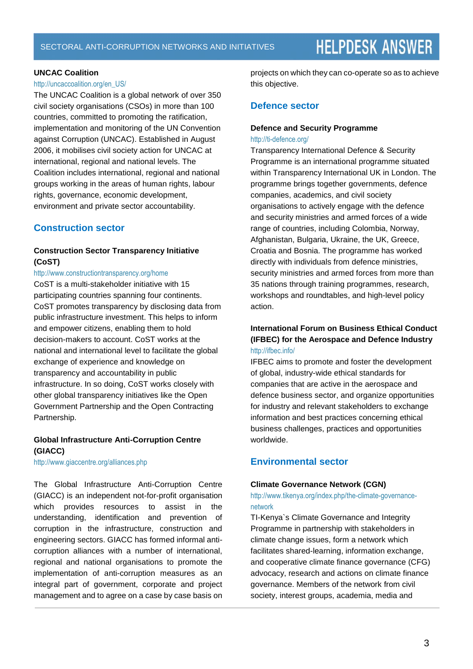#### **UNCAC Coalition**

#### http://uncaccoalition.org/en\_US/

The UNCAC Coalition is a global network of over 350 civil society organisations (CSOs) in more than 100 countries, committed to promoting the ratification, implementation and monitoring of the UN Convention against Corruption (UNCAC). Established in August 2006, it mobilises civil society action for UNCAC at international, regional and national levels. The Coalition includes international, regional and national groups working in the areas of human rights, labour rights, governance, economic development, environment and private sector accountability.

# **Construction sector**

### **Construction Sector Transparency Initiative (CoST)**

#### http://www.constructiontransparency.org/home

CoST is a multi-stakeholder initiative with 15 participating countries spanning four continents. CoST promotes transparency by disclosing data from public infrastructure investment. This helps to inform and empower citizens, enabling them to hold decision-makers to account. CoST works at the national and international level to facilitate the global exchange of experience and knowledge on transparency and accountability in public infrastructure. In so doing, CoST works closely with other global transparency initiatives like the Open Government Partnership and the Open Contracting Partnership.

### **Global Infrastructure Anti-Corruption Centre (GIACC)**

http://www.giaccentre.org/alliances.php

The Global Infrastructure Anti-Corruption Centre (GIACC) is an independent not-for-profit organisation which provides resources to assist in the understanding, identification and prevention of corruption in the infrastructure, construction and engineering sectors. GIACC has formed informal anticorruption alliances with a number of international, regional and national organisations to promote the implementation of anti-corruption measures as an integral part of government, corporate and project management and to agree on a case by case basis on projects on which they can co-operate so as to achieve this objective.

### **Defence sector**

#### **Defence and Security Programme** <http://ti-defence.org/>

Transparency International Defence & Security Programme is an international programme situated within Transparency International UK in London. The programme brings together governments, defence companies, academics, and civil society organisations to actively engage with the defence and security ministries and armed forces of a wide range of countries, including Colombia, Norway, Afghanistan, Bulgaria, Ukraine, the UK, Greece, Croatia and Bosnia. The programme has worked directly with individuals from defence ministries, security ministries and armed forces from more than 35 nations through training programmes, research, workshops and roundtables, and high-level policy action.

# **International Forum on Business Ethical Conduct (IFBEC) for the Aerospace and Defence Industry** <http://ifbec.info/>

IFBEC aims to promote and foster the development of global, industry-wide ethical standards for companies that are active in the aerospace and defence business sector, and organize opportunities for industry and relevant stakeholders to exchange information and best practices concerning ethical business challenges, practices and opportunities worldwide.

# **Environmental sector**

#### **Climate Governance Network (CGN)**

[http://www.tikenya.org/index.php/the-climate-governance](http://www.tikenya.org/index.php/the-climate-governance-network)[network](http://www.tikenya.org/index.php/the-climate-governance-network)

TI-Kenya`s Climate Governance and Integrity Programme in partnership with stakeholders in climate change issues, form a network which facilitates shared-learning, information exchange, and cooperative climate finance governance (CFG) advocacy, research and actions on climate finance governance. Members of the network from civil society, interest groups, academia, media and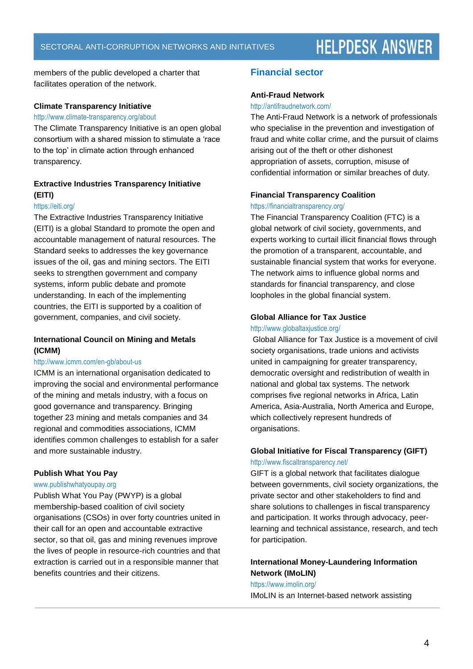members of the public developed a charter that facilitates operation of the network.

#### **Climate Transparency Initiative**

#### <http://www.climate-transparency.org/about>

The Climate Transparency Initiative is an open global consortium with a shared mission to stimulate a 'race to the top' in climate action through enhanced transparency.

# **Extractive Industries Transparency Initiative (EITI)**

#### <https://eiti.org/>

The Extractive Industries Transparency Initiative (EITI) is a global Standard to promote the open and accountable management of natural resources. The Standard seeks to addresses the key governance issues of the oil, gas and mining sectors. The EITI seeks to strengthen government and company systems, inform public debate and promote understanding. In each of the implementing countries, the EITI is supported by a coalition of government, companies, and civil society.

#### **International Council on Mining and Metals (ICMM)**

#### <http://www.icmm.com/en-gb/about-us>

ICMM is an international organisation dedicated to improving the social and environmental performance of the mining and metals industry, with a focus on good governance and transparency. Bringing together 23 mining and metals companies and 34 regional and commodities associations, ICMM identifies common challenges to establish for a safer and more sustainable industry.

#### **Publish What You Pay**

#### [www.publishwhatyoupay.org](http://www.publishwhatyoupay.org/)

Publish What You Pay (PWYP) is a global membership-based coalition of civil society organisations (CSOs) in over forty countries united in their call for an open and accountable extractive sector, so that oil, gas and mining revenues improve the lives of people in resource-rich countries and that extraction is carried out in a responsible manner that benefits countries and their citizens.

# **Financial sector**

#### **Anti-Fraud Network**

#### <http://antifraudnetwork.com/>

The Anti-Fraud Network is a network of professionals who specialise in the prevention and investigation of fraud and white collar crime, and the pursuit of claims arising out of the theft or other dishonest appropriation of assets, corruption, misuse of confidential information or similar breaches of duty.

#### **Financial Transparency Coalition**

#### <https://financialtransparency.org/>

The Financial Transparency Coalition (FTC) is a global network of civil society, governments, and experts working to curtail illicit financial flows through the promotion of a transparent, accountable, and sustainable financial system that works for everyone. The network aims to influence global norms and standards for financial transparency, and close loopholes in the global financial system.

### **Global Alliance for Tax Justice**

#### <http://www.globaltaxjustice.org/>

Global Alliance for Tax Justice is a movement of civil society organisations, trade unions and activists united in campaigning for greater transparency, democratic oversight and redistribution of wealth in national and global tax systems. The network comprises five regional networks in Africa, Latin America, Asia-Australia, North America and Europe, which collectively represent hundreds of organisations.

#### **Global Initiative for Fiscal Transparency (GIFT)** <http://www.fiscaltransparency.net/>

GIFT is a global network that facilitates dialogue between governments, civil society organizations, the private sector and other stakeholders to find and share solutions to challenges in fiscal transparency and participation. It works through advocacy, peerlearning and technical assistance, research, and tech for participation.

## **International Money-Laundering Information Network (IMoLIN)**

#### <https://www.imolin.org/>

IMoLIN is an Internet-based network assisting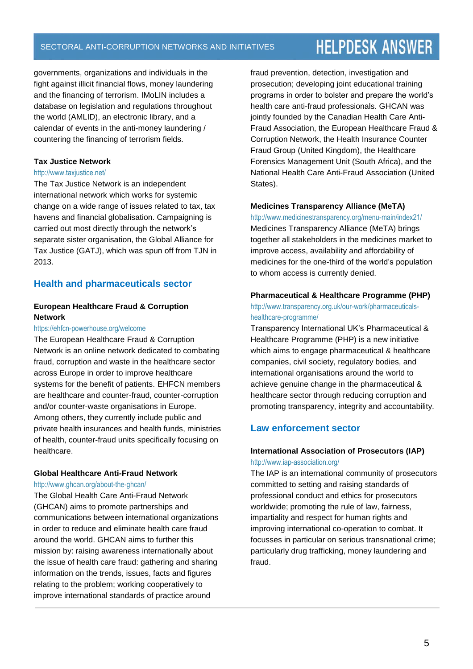# SECTORAL ANTI-CORRUPTION NETWORKS AND INITIATIVES

# **HELPDESK ANSWER**

governments, organizations and individuals in the fight against illicit financial flows, money laundering and the financing of terrorism. IMoLIN includes a database on legislation and regulations throughout the world (AMLID), an electronic library, and a calendar of events in the anti-money laundering / countering the financing of terrorism fields.

#### **Tax Justice Network**

#### http://www.taxjustice.net/

The Tax Justice Network is an independent international network which works for systemic change on a wide range of issues related to tax, tax havens and financial globalisation. Campaigning is carried out most directly through the network's separate sister organisation, the Global Alliance for Tax Justice (GATJ), which was spun off from TJN in 2013.

### **Health and pharmaceuticals sector**

# **European Healthcare Fraud & Corruption Network**

#### <https://ehfcn-powerhouse.org/welcome>

The European Healthcare Fraud & Corruption Network is an online network dedicated to combating fraud, corruption and waste in the healthcare sector across Europe in order to improve healthcare systems for the benefit of patients. EHFCN members are healthcare and counter-fraud, counter-corruption and/or counter-waste organisations in Europe. Among others, they currently include public and private health insurances and health funds, ministries of health, counter-fraud units specifically focusing on healthcare.

#### **Global Healthcare Anti-Fraud Network**

<http://www.ghcan.org/about-the-ghcan/>

The Global Health Care Anti-Fraud Network (GHCAN) aims to promote partnerships and communications between international organizations in order to reduce and eliminate health care fraud around the world. GHCAN aims to further this mission by: raising awareness internationally about the issue of health care fraud: gathering and sharing information on the trends, issues, facts and figures relating to the problem; working cooperatively to improve international standards of practice around

fraud prevention, detection, investigation and prosecution; developing joint educational training programs in order to bolster and prepare the world's health care anti-fraud professionals. GHCAN was jointly founded by the Canadian Health Care Anti-Fraud Association, the European Healthcare Fraud & Corruption Network, the Health Insurance Counter Fraud Group (United Kingdom), the Healthcare Forensics Management Unit (South Africa), and the National Health Care Anti-Fraud Association (United States).

#### **Medicines Transparency Alliance (MeTA)**

<http://www.medicinestransparency.org/menu-main/index21/> Medicines Transparency Alliance (MeTA) brings together all stakeholders in the medicines market to improve access, availability and affordability of medicines for the one-third of the world's population to whom access is currently denied.

#### **Pharmaceutical & Healthcare Programme (PHP)**

[http://www.transparency.org.uk/our-work/pharmaceuticals](http://www.transparency.org.uk/our-work/pharmaceuticals-healthcare-programme/)[healthcare-programme/](http://www.transparency.org.uk/our-work/pharmaceuticals-healthcare-programme/)

Transparency International UK's Pharmaceutical & Healthcare Programme (PHP) is a new initiative which aims to engage pharmaceutical & healthcare companies, civil society, regulatory bodies, and international organisations around the world to achieve genuine change in the pharmaceutical & healthcare sector through reducing corruption and promoting transparency, integrity and accountability.

# **Law enforcement sector**

### **International Association of Prosecutors (IAP)**  <http://www.iap-association.org/>

The IAP is an international community of prosecutors committed to setting and raising standards of professional conduct and ethics for prosecutors worldwide; promoting the rule of law, fairness, impartiality and respect for human rights and improving international co-operation to combat. It focusses in particular on serious transnational crime; particularly drug trafficking, money laundering and fraud.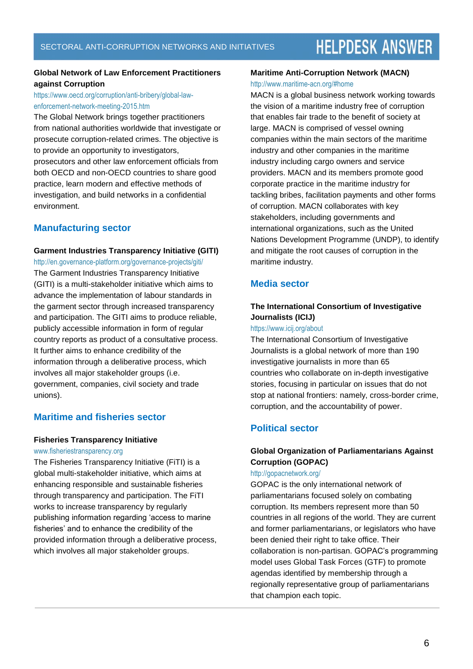### **Global Network of Law Enforcement Practitioners against Corruption**

## [https://www.oecd.org/corruption/anti-bribery/global-law](https://www.oecd.org/corruption/anti-bribery/global-law-enforcement-network-meeting-2015.htm)[enforcement-network-meeting-2015.htm](https://www.oecd.org/corruption/anti-bribery/global-law-enforcement-network-meeting-2015.htm)

The Global Network brings together practitioners from national authorities worldwide that investigate or prosecute corruption-related crimes. The objective is to provide an opportunity to investigators, prosecutors and other law enforcement officials from both OECD and non-OECD countries to share good practice, learn modern and effective methods of investigation, and build networks in a confidential environment.

# **Manufacturing sector**

#### **Garment Industries Transparency Initiative (GITI)**

<http://en.governance-platform.org/governance-projects/giti/> The Garment Industries Transparency Initiative (GITI) is a multi-stakeholder initiative which aims to advance the implementation of labour standards in the garment sector through increased transparency and participation. The GITI aims to produce reliable, publicly accessible information in form of regular country reports as product of a consultative process. It further aims to enhance credibility of the information through a deliberative process, which involves all major stakeholder groups (i.e. government, companies, civil society and trade unions).

# **Maritime and fisheries sector**

#### **Fisheries Transparency Initiative**

#### [www.fisheriestransparency.org](http://www.fisheriestransparency.org/)

The Fisheries Transparency Initiative (FiTI) is a global multi-stakeholder initiative, which aims at enhancing responsible and sustainable fisheries through transparency and participation. The FiTI works to increase transparency by regularly publishing information regarding 'access to marine fisheries' and to enhance the credibility of the provided information through a deliberative process, which involves all major stakeholder groups.

#### **Maritime Anti-Corruption Network (MACN)** <http://www.maritime-acn.org/#home>

MACN is a global business network working towards the vision of a maritime industry free of corruption that enables fair trade to the benefit of society at large. MACN is comprised of vessel owning companies within the main sectors of the maritime industry and other companies in the maritime industry including cargo owners and service providers. MACN and its members promote good corporate practice in the maritime industry for tackling bribes, facilitation payments and other forms of corruption. MACN collaborates with key stakeholders, including governments and international organizations, such as the United Nations Development Programme (UNDP), to identify and mitigate the root causes of corruption in the maritime industry.

# **Media sector**

# **The International Consortium of Investigative Journalists (ICIJ)**

#### <https://www.icij.org/about>

The International Consortium of Investigative Journalists is a global network of more than 190 investigative journalists in more than 65 countries who collaborate on [in-depth investigative](http://www.icij.org/projects)  [stories,](http://www.icij.org/projects) focusing in particular on [issues that do not](http://www.icij.org/blog/2012/08/essential-elements-powerful-global-investigative-reporting)  [stop at national frontiers:](http://www.icij.org/blog/2012/08/essential-elements-powerful-global-investigative-reporting) namely, cross-border crime, corruption, and the accountability of power.

# **Political sector**

# **Global Organization of Parliamentarians Against Corruption (GOPAC)**

#### <http://gopacnetwork.org/>

GOPAC is the only international network of parliamentarians focused solely on combating corruption. Its members represent more than 50 countries in all regions of the world. They are current and former parliamentarians, or legislators who have been denied their right to take office. Their collaboration is non-partisan. GOPAC's programming model uses Global Task Forces (GTF) to promote agendas identified by membership through a regionally representative group of parliamentarians that champion each topic.